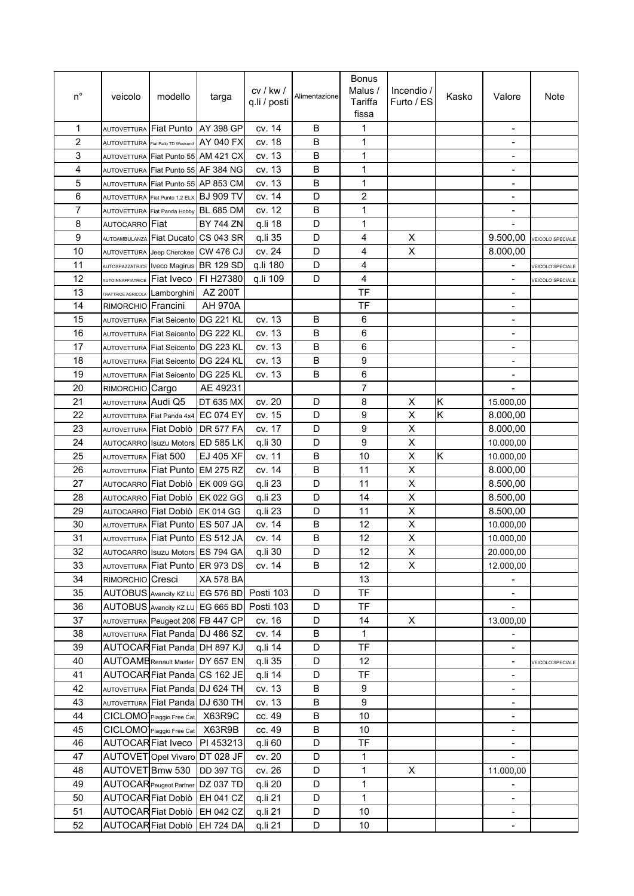| $n^{\circ}$ | veicolo                     | modello                                  | targa                                      | cv / kw /<br>q.li / posti | Alimentazione | <b>Bonus</b><br>Malus /<br>Tariffa<br>fissa | Incendio $/$<br>Furto / ES | Kasko                   | Valore                                                   | Note                    |
|-------------|-----------------------------|------------------------------------------|--------------------------------------------|---------------------------|---------------|---------------------------------------------|----------------------------|-------------------------|----------------------------------------------------------|-------------------------|
| 1           | <b>AUTOVETTURA</b>          | Fiat Punto                               | AY 398 GP                                  | cv. 14                    | B             | 1                                           |                            |                         |                                                          |                         |
| 2           |                             | AUTOVETTURA Fiat Palio TD Weekend        | AY 040 FX                                  | cv. 18                    | B             | 1                                           |                            |                         |                                                          |                         |
| 3           |                             | AUTOVETTURA Fiat Punto 55 AM 421 CX      |                                            | cv. 13                    | В             | 1                                           |                            |                         | $\overline{a}$                                           |                         |
| 4           |                             |                                          | AUTOVETTURA Fiat Punto 55 AF 384 NG        | cv. 13                    | B             | 1                                           |                            |                         | $\overline{\phantom{a}}$                                 |                         |
| 5           |                             |                                          | AUTOVETTURA Fiat Punto 55 AP 853 CM        | cv. 13                    | B             | 1                                           |                            |                         | $\overline{\phantom{a}}$                                 |                         |
| 6           |                             | AUTOVETTURA Fiat Punto 1.2 ELX BJ 909 TV |                                            | cv. 14                    | D             | $\overline{c}$                              |                            |                         | ÷,                                                       |                         |
| 7           |                             | AUTOVETTURA Fiat Panda Hobby             | <b>BL 685 DM</b>                           | cv. 12                    | В             | 1                                           |                            |                         |                                                          |                         |
| 8           | AUTOCARRO Fiat              |                                          | <b>BY 744 ZN</b>                           | q.li 18                   | D             | 1                                           |                            |                         |                                                          |                         |
| 9           | AUTOAMBULANZA               |                                          | Fiat Ducato CS 043 SR                      | q.li 35                   | D             | 4                                           | X                          |                         | 9.500,00                                                 | <b>VEICOLO SPECIALE</b> |
| 10          |                             | AUTOVETTURA Jeep Cherokee                | <b>CW 476 CJ</b>                           | cv. 24                    | D             | 4                                           | X                          |                         | 8.000,00                                                 |                         |
| 11          |                             | AUTOSPAZZATRICE IVeco Magirus            | <b>BR 129 SD</b>                           | q.li 180                  | D             | 4                                           |                            |                         | $\overline{a}$                                           | VEICOLO SPECIALE        |
| 12          | <b>AUTOINNAFFIATRICE</b>    | <b>Fiat Iveco</b>                        | FI H27380                                  | q.li 109                  | D             | 4                                           |                            |                         | $\overline{\phantom{a}}$                                 | <b>VEICOLO SPECIALE</b> |
| 13          |                             | TRATTRICE AGRICOLA Lamborghini           | AZ 200T                                    |                           |               | <b>TF</b>                                   |                            |                         | $\overline{a}$                                           |                         |
| 14          | <b>RIMORCHIO</b>            | Francini                                 | <b>AH 970A</b>                             |                           |               | TF                                          |                            |                         |                                                          |                         |
| 15          |                             | AUTOVETTURA Fiat Seicento                | <b>DG 221 KL</b>                           | cv. 13                    | B             | 6                                           |                            |                         |                                                          |                         |
| 16          |                             | AUTOVETTURA Fiat Seicento DG 222 KL      |                                            | cv. 13                    | $\mathsf B$   | 6                                           |                            |                         | $\blacksquare$                                           |                         |
| 17          |                             | AUTOVETTURA Fiat Seicento DG 223 KL      |                                            | cv. 13                    | B             | 6                                           |                            |                         | ÷,                                                       |                         |
| 18          |                             | AUTOVETTURA Fiat Seicento DG 224 KL      |                                            | cv. 13                    | B             | 9                                           |                            |                         | $\qquad \qquad \blacksquare$                             |                         |
| 19          |                             | AUTOVETTURA Fiat Seicento DG 225 KL      |                                            | cv. 13                    | B             | 6                                           |                            |                         | $\overline{\phantom{a}}$                                 |                         |
| 20          | RIMORCHIO Cargo             |                                          | AE 49231                                   |                           |               | $\overline{7}$                              |                            |                         |                                                          |                         |
| 21          | AUTOVETTURA Audi Q5         |                                          | DT 635 MX                                  | cv. 20                    | D             | 8                                           | X                          | Κ                       | 15.000,00                                                |                         |
| 22          |                             | AUTOVETTURA Fiat Panda 4x4               | <b>EC 074 EY</b>                           | cv. 15                    | D             | 9                                           | X                          | $\overline{\mathsf{K}}$ | 8.000,00                                                 |                         |
| 23          |                             | AUTOVETTURA Fiat Doblò                   | <b>DR 577 FA</b>                           | cv. 17                    | D             | 9                                           | X                          |                         | 8.000,00                                                 |                         |
| 24          |                             | <b>AUTOCARRO</b> Isuzu Motors            | <b>ED 585 LK</b>                           | q.li 30                   | D             | 9                                           | X                          |                         | 10.000,00                                                |                         |
| 25          | AUTOVETTURA Fiat 500        |                                          | EJ 405 XF                                  | cv. 11                    | B             | 10                                          | Χ                          | Κ                       | 10.000,00                                                |                         |
| 26          |                             | AUTOVETTURA Fiat Punto EM 275 RZ         |                                            | cv. 14                    | B             | 11                                          | X                          |                         | 8.000,00                                                 |                         |
| 27          |                             | AUTOCARRO Fiat Doblò                     | <b>EK 009 GG</b>                           | q.li 23                   | D             | 11                                          | X                          |                         | 8.500,00                                                 |                         |
| 28          | <b>AUTOCARRO</b> Fiat Doblò |                                          | <b>EK 022 GG</b>                           | q.li 23                   | D             | 14                                          | X                          |                         | 8.500,00                                                 |                         |
| 29          |                             | AUTOCARRO Fiat Doblò EK 014 GG           |                                            | q.li 23                   | D             | 11                                          | X                          |                         | 8.500,00                                                 |                         |
| 30          |                             | AUTOVETTURA Fiat Punto ES 507 JA         |                                            | cv. 14                    | В             | 12                                          | X                          |                         | 10.000,00                                                |                         |
| 31          |                             | AUTOVETTURA Fiat Punto ES 512 JA         |                                            | cv. 14                    | В             | 12                                          | Χ                          |                         | 10.000,00                                                |                         |
| 32          |                             |                                          | AUTOCARRO Isuzu Motors ES 794 GA           | q.li 30                   | D             | 12                                          | X                          |                         | 20.000,00                                                |                         |
| 33          |                             |                                          | AUTOVETTURA Fiat Punto ER 973 DS           | cv. 14                    | В             | 12                                          | X                          |                         | 12.000,00                                                |                         |
| 34          | RIMORCHIO Cresci            |                                          | <b>XA 578 BA</b>                           |                           |               | 13                                          |                            |                         |                                                          |                         |
| 35          |                             |                                          | AUTOBUS Avancity KZ LU EG 576 BD Posti 103 |                           | D             | TF                                          |                            |                         |                                                          |                         |
| 36          |                             |                                          | AUTOBUS Avancity KZ LU EG 665 BD Posti 103 |                           | D             | <b>TF</b>                                   |                            |                         |                                                          |                         |
| 37          |                             |                                          | AUTOVETTURA Peugeot 208 FB 447 CP          | cv. 16                    | D             | 14                                          | X                          |                         | 13.000,00                                                |                         |
| 38          |                             |                                          | AUTOVETTURA Fiat Panda DJ 486 SZ           | cv. 14                    | B             | 1                                           |                            |                         |                                                          |                         |
| 39          |                             |                                          | AUTOCAR Fiat Panda DH 897 KJ               | q.li 14                   | D             | TF                                          |                            |                         | $\qquad \qquad \blacksquare$                             |                         |
| 40          |                             |                                          | <b>AUTOAMB</b> Renault Master DY 657 EN    | q.li 35                   | D             | 12                                          |                            |                         | $\qquad \qquad \blacksquare$                             | VEICOLO SPECIALE        |
| 41          |                             |                                          | AUTOCAR Fiat Panda CS 162 JE               | q.li 14                   | D             | TF                                          |                            |                         | $\overline{\phantom{a}}$                                 |                         |
| 42          |                             |                                          | AUTOVETTURA Fiat Panda DJ 624 TH           | cv. 13                    | B             | 9                                           |                            |                         |                                                          |                         |
| 43          |                             |                                          | AUTOVETTURA Fiat Panda DJ 630 TH           | cv. 13                    | B             | 9                                           |                            |                         |                                                          |                         |
| 44          |                             | CICLOMO <sup>I</sup> Piaggio Free Cat    | X63R9C                                     | cc. 49                    | B             | 10                                          |                            |                         | $\blacksquare$<br>$\overline{\phantom{0}}$               |                         |
| 45          |                             | CICLOMO <sup>I</sup> Piaggio Free Cat    | X63R9B                                     | cc. 49                    | $\sf B$       | 10                                          |                            |                         |                                                          |                         |
| 46          |                             | <b>AUTOCAR Fiat Iveco</b>                | PI 453213                                  |                           | D             | TF                                          |                            |                         | $\overline{\phantom{a}}$                                 |                         |
| 47          |                             | AUTOVET Opel Vivaro DT 028 JF            |                                            | q.li 60                   | D             |                                             |                            |                         | $\qquad \qquad \blacksquare$<br>$\overline{\phantom{a}}$ |                         |
| 48          | AUTOVET Bmw 530             |                                          | <b>DD 397 TG</b>                           | cv. 20                    | D             | 1                                           | X                          |                         |                                                          |                         |
| 49          |                             | AUTOCAR Peugeot Partner                  |                                            | cv. 26                    | D             | 1<br>$\mathbf{1}$                           |                            |                         | 11.000,00                                                |                         |
|             |                             | AUTOCAR Fiat Doblò                       | DZ 037 TD                                  | q.li 20                   |               | $\mathbf{1}$                                |                            |                         |                                                          |                         |
| 50          |                             |                                          | <b>EH 041 CZ</b>                           | q.li 21                   | D             |                                             |                            |                         |                                                          |                         |
| 51          |                             |                                          | AUTOCAR Fiat Doblò EH 042 CZ               | q.li 21                   | D             | 10                                          |                            |                         |                                                          |                         |
| 52          |                             |                                          | AUTOCAR Fiat Doblò EH 724 DA               | q.li 21                   | D             | 10                                          |                            |                         | $\frac{1}{2}$                                            |                         |